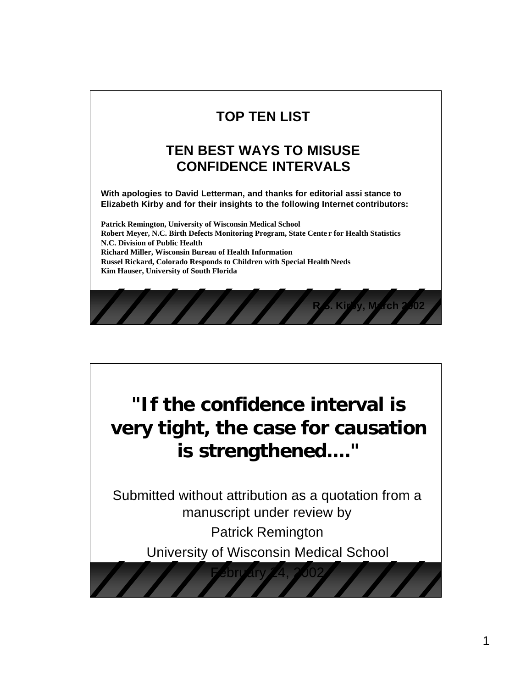#### **TOP TEN LIST**

#### **TEN BEST WAYS TO MISUSE CONFIDENCE INTERVALS**

**With apologies to David Letterman, and thanks for editorial assi stance to Elizabeth Kirby and for their insights to the following Internet contributors:** 

**Patrick Remington, University of Wisconsin Medical School Robert Meyer, N.C. Birth Defects Monitoring Program, State Cente r for Health Statistics N.C. Division of Public Health Richard Miller, Wisconsin Bureau of Health Information Russel Rickard, Colorado Responds to Children with Special Health Needs Kim Hauser, University of South Florida**

**Kirby, March 2002** 

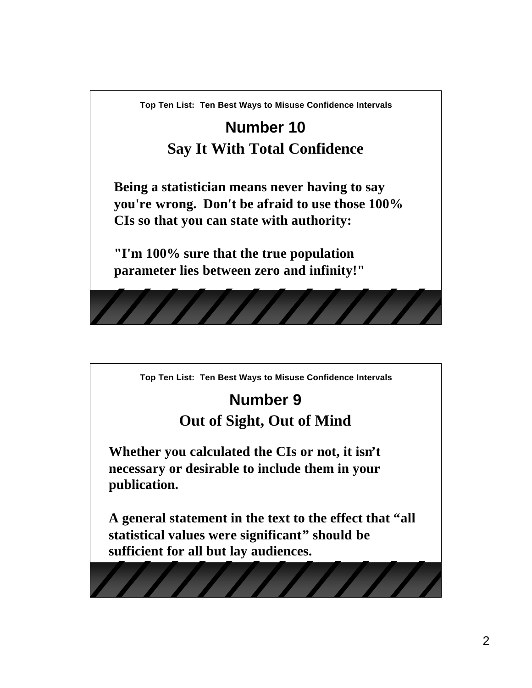# **Number 10 Say It With Total Confidence**

**Being a statistician means never having to say you're wrong. Don't be afraid to use those 100% CIs so that you can state with authority:**

**"I'm 100% sure that the true population parameter lies between zero and infinity!"** 

**Top Ten List: Ten Best Ways to Misuse Confidence Intervals**

# **Number 9 Out of Sight, Out of Mind**

**Whether you calculated the CIs or not, it isn't necessary or desirable to include them in your publication.**

**A general statement in the text to the effect that "all statistical values were significant" should be sufficient for all but lay audiences.**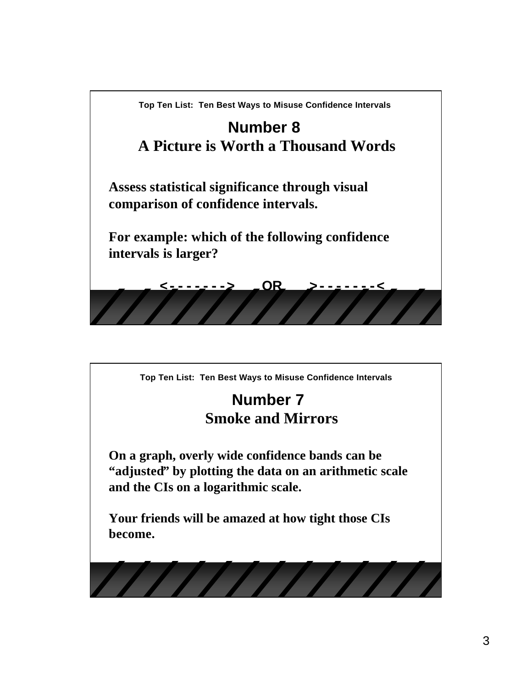

#### **Number 7 Smoke and Mirrors**

**On a graph, overly wide confidence bands can be "adjusted" by plotting the data on an arithmetic scale and the CIs on a logarithmic scale.**

**Your friends will be amazed at how tight those CIs become.**

////////////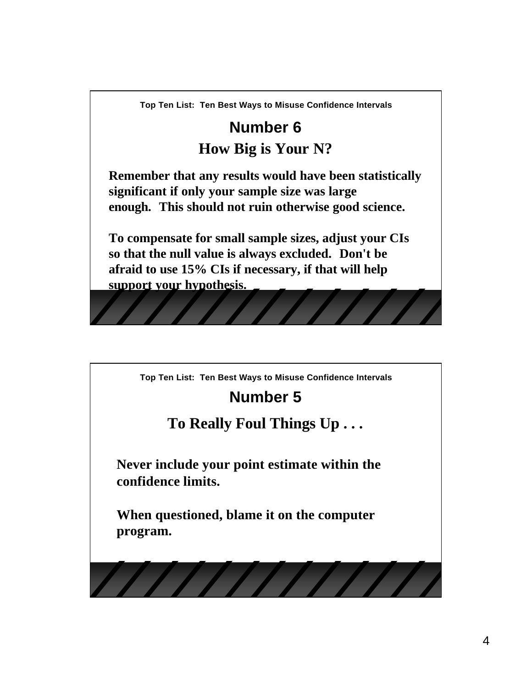### **Number 6 How Big is Your N?**

**Remember that any results would have been statistically significant if only your sample size was large enough. This should not ruin otherwise good science.**

**To compensate for small sample sizes, adjust your CIs so that the null value is always excluded. Don't be afraid to use 15% CIs if necessary, if that will help support your hypothesis.** 

**Top Ten List: Ten Best Ways to Misuse Confidence Intervals**

# **Number 5**

#### **To Really Foul Things Up . . .**

**Never include your point estimate within the confidence limits.**

**When questioned, blame it on the computer program.**

////////////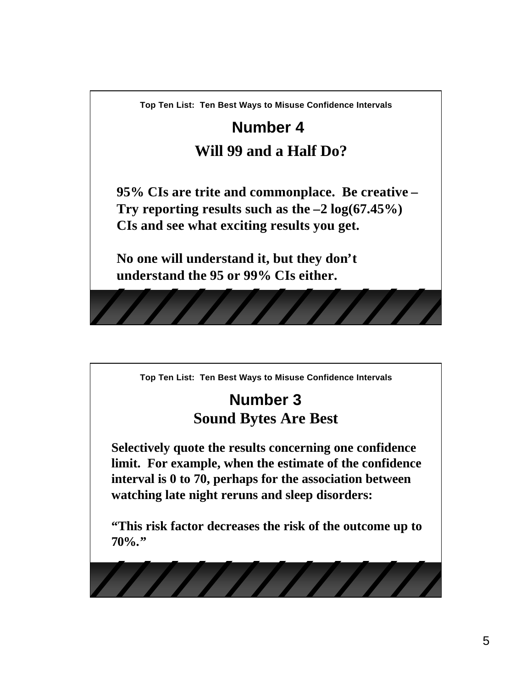# **Number 4 Will 99 and a Half Do?**

**95% CIs are trite and commonplace. Be creative – Try reporting results such as the –2 log(67.45%) CIs and see what exciting results you get.**

**No one will understand it, but they don't understand the 95 or 99% CIs either.**

**Top Ten List: Ten Best Ways to Misuse Confidence Intervals**

### **Number 3 Sound Bytes Are Best**

**Selectively quote the results concerning one confidence limit. For example, when the estimate of the confidence interval is 0 to 70, perhaps for the association between watching late night reruns and sleep disorders:**

**"This risk factor decreases the risk of the outcome up to 70%."**

777777777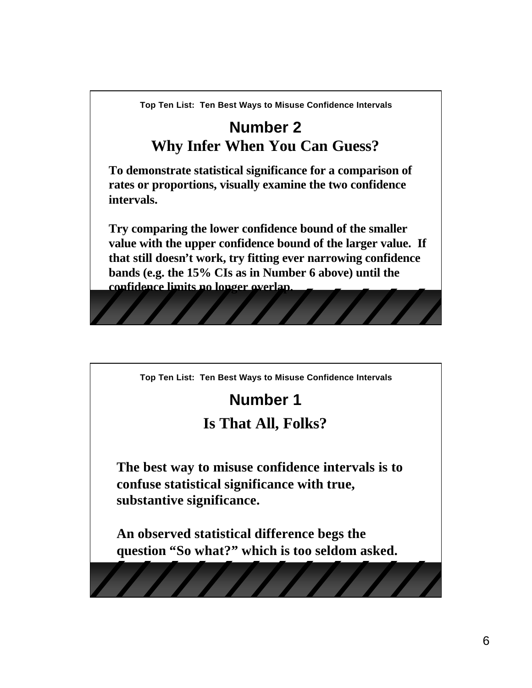### **Number 2 Why Infer When You Can Guess?**

**To demonstrate statistical significance for a comparison of rates or proportions, visually examine the two confidence intervals.**

**Try comparing the lower confidence bound of the smaller value with the upper confidence bound of the larger value. If that still doesn't work, try fitting ever narrowing confidence bands (e.g. the 15% CIs as in Number 6 above) until the confidence limits no longer overlap.**

**Top Ten List: Ten Best Ways to Misuse Confidence Intervals**

### **Number 1**

#### **Is That All, Folks?**

**The best way to misuse confidence intervals is to confuse statistical significance with true, substantive significance.** 

**An observed statistical difference begs the question "So what?" which is too seldom asked.**